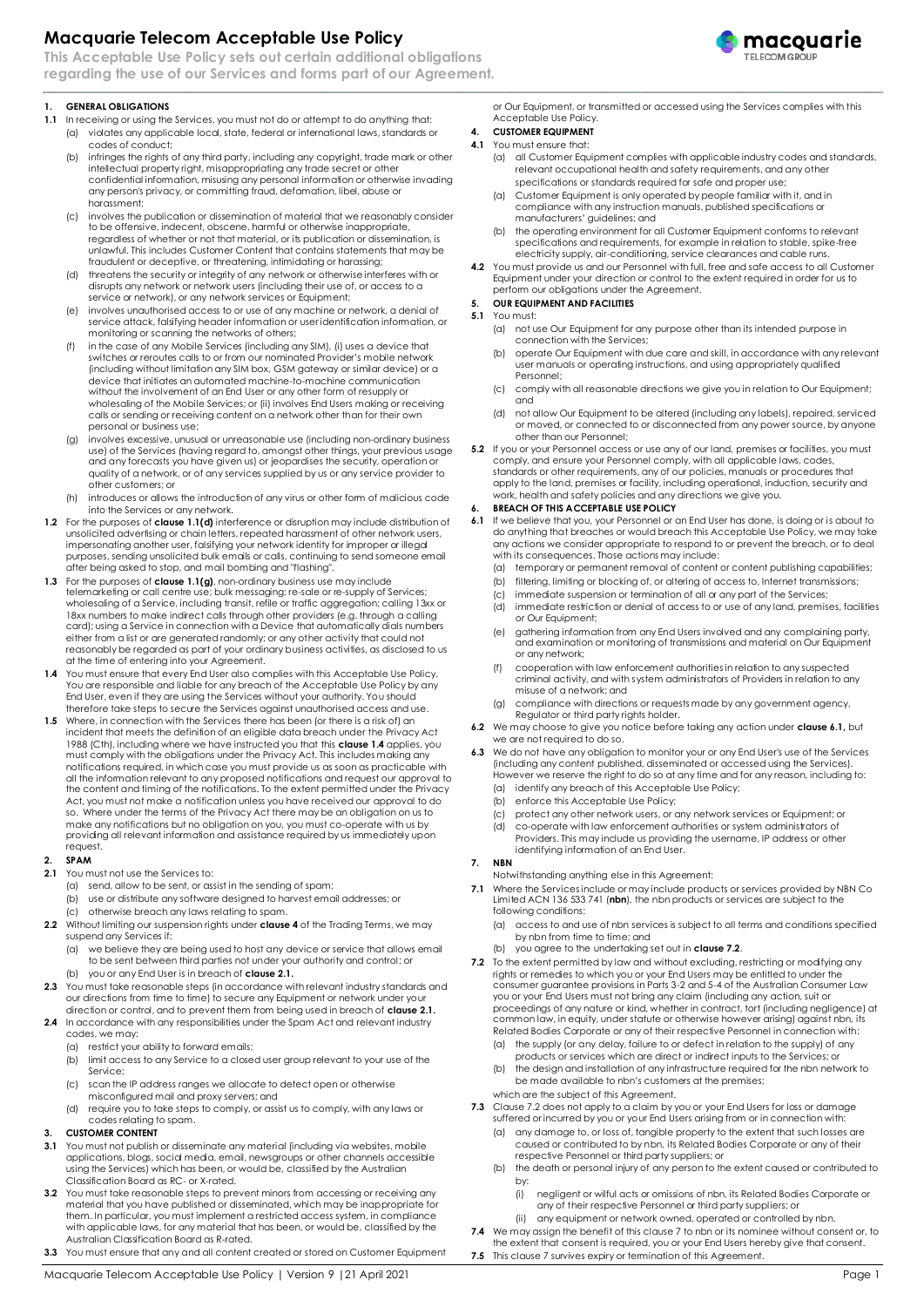# **Macquarie Telecom Acceptable Use Policy**

**This Acceptable Use Policy sets out certain additional obligations regarding the use of our Services and forms part of our Agreement.**

#### **1. GENERAL OBLIGATIONS**

- <span id="page-0-0"></span>**1.1** In receiving or using the Services, you must not do or attempt to do anything that: (a) violates any applicable local, state, federal or international laws, standards or codes of conduct;
	- (b) infringes the rights of any third party, including any copyright, trade mark or other intellectual property right, misappropriating any trade secret or other confidential information, misusing any personal information or otherwise invading any person's privacy, or committing fraud, defamation, libel, abuse or harassment;
	- (c) involves the publication or dissemination of material that we reasonably consider to be offensive, indecent, obscene, harmful or otherwise inappropriate, regardless of whether or not that material, or its publication or dissemination, is unlawful. This includes Customer Content that contains statements that may be fraudulent or deceptive, or threatening, intimidating or harassing;
	- (d) threatens the security or integrity of any network or otherwise interferes with or disrupts any network or network users (including their use of, or access to a service or network), or any network services or Equipment;
	- (e) involves unauthorised access to or use of any machine or network, a denial of service attack, falsifying header information or user identification information, or monitoring or scanning the networks of others;
	- (f) in the case of any Mobile Services (including any SIM), (i) uses a device that switches or reroutes calls to or from our nominated Provider's mobile network (including without limitation any SIM box, GSM gateway or similar device) or a device that initiates an automated machine-to-machine communication without the involvement of an End User or any other form of resupply or wholesaling of the Mobile Services; or (ii) involves End Users making or receiving calls or sending or receiving content on a network other than for their own personal or business use;
	- (g) involves excessive, unusual or unreasonable use (including non-ordinary business use) of the Services (having regard to, amongst other things, your previous usage and any forecasts you have given us) or jeopardises the security, operation or quality of a network, or of any services supplied by us or any service provider to other customers; or
	- (h) introduces or allows the introduction of any virus or other form of malicious code into the Services or any network.
- **1.2** For the purposes of **clause [1.1\(d\)](#page-0-0)** interference or disruption may include distribution of unsolicited advertising or chain letters, repeated harassment of other network users, impersonating another user, falsifying your network identity for improper or illegal purposes, sending unsolicited bulk emails or calls, continuing to send someone email after being asked to stop, and mail bombing and "flashing".
- **1.3** For the purposes of **clause 1.1(g)**, non-ordinary business use may include telemarketing or call centre use; bulk messaging; re-sale or re-supply of Services; wholesaling of a Service, including transit, refile or traffic aggregation; calling 13xx or<br>18xx numbers to make indirect calls through other providers (e.g. through a calling<br>card); using a Service in connection with a De either from a list or are generated randomly; or any other activity that could not reasonably be regarded as part of your ordinary business activities, as disclosed to us at the time of entering into your Agreement.
- **1.4** You must ensure that every End User also complies with this Acceptable Use Policy. You are responsible and liable for any breach of the Acceptable Use Policy by any End User, even if they are using the Services without your authority. You should therefore take steps to secure the Services against unauthorised access and use.
- **1.5** Where, in connection with the Services there has been (or there is a risk of) an incident that meets the definition of an eligible data breach under the Privacy Act 1988 (Cth), including where we have instructed you that this **clause 1.4** applies, you<br>must comply with the obligations under the Privacy Act. This includes making any<br>notifications required, in which case you must provide all the information relevant to any proposed notifications and request our approval to the content and timing of the notifications. To the extent permitted under the Privacy Act, you must not make a notification unless you have received our approval to do so. Where under the terms of the Privacy Act there may be an obligation on us to make any notifications but no obligation on you, you must co-operate with us by providing all relevant information and assistance required by us immediately upon request.

### **2. SPAM**

- <span id="page-0-1"></span>**2.1** You must not use the Services to:
- (a) send, allow to be sent, or assist in the sending of spam; (b) use or distribute any software designed to harvest email addresses; or
- (c) otherwise breach any laws relating to spam. **2.2** Without limiting our suspension rights under **clause 4** of the Trading Terms, we may
- suspend any Services if:
	- (a) we believe they are being used to host any device or service that allows email to be sent between third parties not under your authority and control; or
- (b) you or any End User is in breach of **claus[e 2.1.](#page-0-1)**
- **2.3** You must take reasonable steps (in accordance with relevant industry standards and our directions from time to time) to secure any Equipment or network under your direction or control, and to prevent them from being used in breach of **clause [2.1.](#page-0-1)**
- 2.4 In accordance with any responsibilities under the Spam Act and relevant industry codes, we may:
	- (a) restrict your ability to forward emails;
	- (b) limit access to any Service to a closed user group relevant to your use of the Service;
	- (c) scan the IP address ranges we allocate to detect open or otherwise misconfigured mail and proxy servers; and
	- (d) require you to take steps to comply, or assist us to comply, with any laws or codes relating to spam.

## **3. CUSTOMER CONTENT**

- **3.1** You must not publish or disseminate any material (including via websites, mobile applications, blogs, social media, email, newsgroups or other channels accessible using the Services) which has been, or would be, classified by the Australian Classification Board as RC- or X-rated.
- **3.2** You must take reasonable steps to prevent minors from accessing or receiving any material that you have published or disseminated, which may be inappropriate for them. In particular, you must implement a restricted access system, in compliance with applicable laws, for any material that has been, or would be, classified by the Australian Classification Board as R-rated. **3.3** You must ensure that any and all content created or stored on Customer Equipment
- 

or Our Equipment, or transmitted or accessed using the Services complies with this Acceptable Use Policy. **4. CUSTOMER EQUIPMENT**

## **4.1** You must ensure that:

- (a) all Customer Equipment complies with applicable industry codes and standards, relevant occupational health and safety requirements, and any other specifications or standards required for safe and proper use;
- (a) Customer Equipment is only operated by people familiar with it, and in compliance with any instruction manuals, published specifications or manufacturers' guidelines; and
- (b) the operating environment for all Customer Equipment conforms to relevant specifications and requirements, for example in relation to stable, spike-free electricity supply, air-conditioning, service clearances and cable runs.
- **4.2** You must provide us and our Personnel with full, free and safe access to all Customer Equipment under your direction or control to the extent required in order for us to perform our obligations under the Agreement.

#### **5. OUR EQUIPMENT AND FACILITIES 5.1** You must:

- (a) not use Our Equipment for any purpose other than its intended purpose in connection with the Services;
- (b) operate Our Equipment with due care and skill, in accordance with any relevant user manuals or operating instructions, and using appropriately qualified Personnel;
- (c) comply with all reasonable directions we give you in relation to Our Equipment; and
- (d) not allow Our Equipment to be altered (including any labels), repaired, serviced or moved, or connected to or disconnected from any power source, by anyone other than our Personnel;
- **5.2** If you or your Personnel access or use any of our land, premises or facilities, you must comply, and ensure your Personnel comply, with all applicable laws, codes, standards or other requirements, any of our policies, manuals or procedures that apply to the land, premises or facility, including operational, induction, security and work, health and safety policies and any directions we give you.

## **6. BREACH OF THIS ACCEPTABLE USE POLICY**

- <span id="page-0-2"></span>**6.1** If we believe that you, your Personnel or an End User has done, is doing or is about to do anything that breaches or would breach this Acceptable Use Policy, we may take any actions we consider appropriate to respond to or prevent the breach, or to deal with its consequences. Those actions may include:
	- (a) temporary or permanent removal of content or content publishing capabilities;
	- (b) filtering, limiting or blocking of, or altering of access to, Internet transmissions;
	- immediate suspension or termination of all or any part of the Services;
	- (d) immediate restriction or denial of access to or use of any land, premises, facilities or Our Equipment;
	- (e) gathering information from any End Users involved and any complaining party, and examination or monitoring of transmissions and material on Our Equipment or any network;
	- (f) cooperation with law enforcement authorities in relation to any suspected criminal activity, and with system administrators of Providers in relation to any misuse of a network; and
	- (g) compliance with directions or requests made by any government agency, Regulator or third party rights holder.
- **6.2** We may choose to give you notice before taking any action under **clause [6.1,](#page-0-2)** but we are not required to do so.
- **6.3** We do not have any obligation to monitor your or any End User's use of the Services (including any content published, disseminated or accessed using the Services). However we reserve the right to do so at any time and for any reason, including to: (a) identify any breach of this Acceptable Use Policy;
	- (b) enforce this Acceptable Use Policy;
	-
	- (c) protect any other network users, or any network services or Equipment; or (d) co-operate with law enforcement authorities or system administrators of
	- Providers. This may include us providing the username, IP address or other identifying information of an End User.

## **7. NBN**

Notwithstanding anything else in this Agreement:

- **7.1** Where the Services include or may include products or services provided by NBN Co Limited ACN 136 533 741 (**nbn**), the nbn products or services are subject to the following conditions:
	- (a) access to and use of nbn services is subject to all terms and conditions specified by nbn from time to time; and
	- (b) you agree to the undertaking set out in **clause 7.2**.
- **7.2** To the extent permitted by law and without excluding, restricting or modifying any rights or remedies to which you or your End Users may be entitled to under the consumer guarantee provisions in Parts 3-2 and 5-4 of the Australian Consumer Law you or your End Users must not bring any claim (including any action, suit or proceedings of any nature or kind, whether in contract, tort (including negligence) at common law, in equity, under statute or otherwise however arising) against nbn, its Related Bodies Corporate or any of their respective Personnel in connection with:
	- (a) the supply (or any delay, failure to or defect in relation to the supply) of any products or services which are direct or indirect inputs to the Services; or
	- (b) the design and installation of any infrastructure required for the nbn network to be made available to nbn's customers at the premises;
	- which are the subject of this Agreement.
- **7.3** Clause 7.2 does not apply to a claim by you or your End Users for loss or damage suffered or incurred by you or your End Users arising from or in connection with (a) any damage to, or loss of, tangible property to the extent that such losses are
	- caused or contributed to by nbn, its Related Bodies Corporate or any of their respective Personnel or third party suppliers; or
	- (b) the death or personal injury of any person to the extent caused or contributed to by:
		- (i) negligent or wilful acts or omissions of nbn, its Related Bodies Corporate or
		- any of their respective Personnel or third party suppliers; or (ii) any equipment or network owned, operated or controlled by nbn.
		-
- **7.4** We may assign the benefit of this clause 7 to nbn or its nominee without consent or, to the extent that consent is required, you or your End Users hereby give that consent. **7.5** This clause 7 survives expiry or termination of this Agreement.